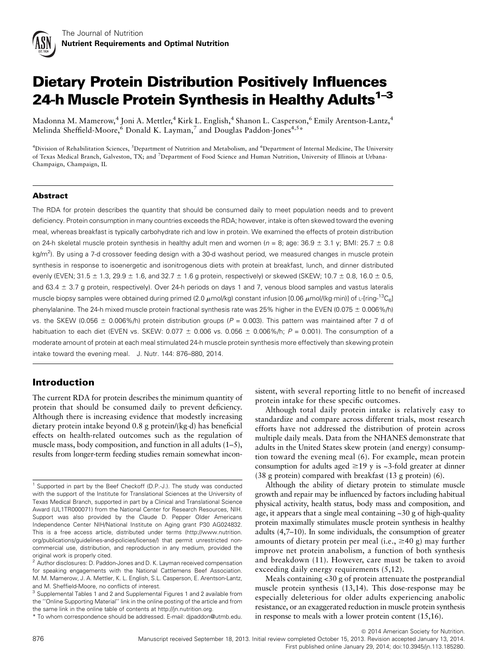

# Dietary Protein Distribution Positively Influences 24-h Muscle Protein Synthesis in Healthy Adults $1-3$

Madonna M. Mamerow,<sup>4</sup> Joni A. Mettler,<sup>4</sup> Kirk L. English,<sup>4</sup> Shanon L. Casperson,<sup>6</sup> Emily Arentson-Lantz,<sup>4</sup> Melinda Sheffield-Moore,<sup>6</sup> Donald K. Layman,<sup>7</sup> and Douglas Paddon-Jones<sup>4,5\*</sup>

<sup>4</sup>Division of Rehabilitation Sciences, <sup>5</sup>Department of Nutrition and Metabolism, and <sup>6</sup>Department of Internal Medicine, The University of Texas Medical Branch, Galveston, TX; and <sup>7</sup>Department of Food Science and Human Nutrition, University of Illinois at Urbana-Champaign, Champaign, IL

#### Abstract

The RDA for protein describes the quantity that should be consumed daily to meet population needs and to prevent deficiency. Protein consumption in many countries exceeds the RDA; however, intake is often skewed toward the evening meal, whereas breakfast is typically carbohydrate rich and low in protein. We examined the effects of protein distribution on 24-h skeletal muscle protein synthesis in healthy adult men and women ( $n = 8$ ; age: 36.9  $\pm$  3.1 y; BMI: 25.7  $\pm$  0.8 kg/m<sup>2</sup>). By using a 7-d crossover feeding design with a 30-d washout period, we measured changes in muscle protein synthesis in response to isoenergetic and isonitrogenous diets with protein at breakfast, lunch, and dinner distributed evenly (EVEN; 31.5  $\pm$  1.3, 29.9  $\pm$  1.6, and 32.7  $\pm$  1.6 g protein, respectively) or skewed (SKEW; 10.7  $\pm$  0.8, 16.0  $\pm$  0.5, and 63.4  $\pm$  3.7 g protein, respectively). Over 24-h periods on days 1 and 7, venous blood samples and vastus lateralis muscle biopsy samples were obtained during primed (2.0  $\mu$ mol/kg) constant infusion [0.06  $\mu$ mol/(kg·min)] of L-[ring-<sup>13</sup>C<sub>6</sub>] phenylalanine. The 24-h mixed muscle protein fractional synthesis rate was 25% higher in the EVEN (0.075  $\pm$  0.006%/h) vs. the SKEW (0.056  $\pm$  0.006%/h) protein distribution groups (P = 0.003). This pattern was maintained after 7 d of habituation to each diet (EVEN vs. SKEW: 0.077  $\pm$  0.006 vs. 0.056  $\pm$  0.006%/h; P = 0.001). The consumption of a moderate amount of protein at each meal stimulated 24-h muscle protein synthesis more effectively than skewing protein intake toward the evening meal. J. Nutr. 144: 876–880, 2014.

# Introduction

The current RDA for protein describes the minimum quantity of protein that should be consumed daily to prevent deficiency. Although there is increasing evidence that modestly increasing dietary protein intake beyond 0.8 g protein/(kg-d) has beneficial effects on health-related outcomes such as the regulation of muscle mass, body composition, and function in all adults (1–5), results from longer-term feeding studies remain somewhat inconsistent, with several reporting little to no benefit of increased protein intake for these specific outcomes.

Although total daily protein intake is relatively easy to standardize and compare across different trials, most research efforts have not addressed the distribution of protein across multiple daily meals. Data from the NHANES demonstrate that adults in the United States skew protein (and energy) consumption toward the evening meal (6). For example, mean protein consumption for adults aged  $\geq$ 19 y is ~3-fold greater at dinner (38 g protein) compared with breakfast (13 g protein) (6).

Although the ability of dietary protein to stimulate muscle growth and repair may be influenced by factors including habitual physical activity, health status, body mass and composition, and age, it appears that a single meal containing ~30 g of high-quality protein maximally stimulates muscle protein synthesis in healthy adults (4,7–10). In some individuals, the consumption of greater amounts of dietary protein per meal (i.e.,  $\geq 40$  g) may further improve net protein anabolism, a function of both synthesis and breakdown (11). However, care must be taken to avoid exceeding daily energy requirements  $(5,12)$ .

Meals containing <30 g of protein attenuate the postprandial muscle protein synthesis (13,14). This dose-response may be especially deleterious for older adults experiencing anabolic resistance, or an exaggerated reduction in muscle protein synthesis in response to meals with a lower protein content (15,16).

 $©$  2014 American Society for Nutrition.

<sup>&</sup>lt;sup>1</sup> Supported in part by the Beef Checkoff (D.P.-J.). The study was conducted with the support of the Institute for Translational Sciences at the University of Texas Medical Branch, supported in part by a Clinical and Translational Science Award (UL1TR000071) from the National Center for Research Resources, NIH. Support was also provided by the Claude D. Pepper Older Americans Independence Center NIH/National Institute on Aging grant P30 AG024832. This is a free access article, distributed under terms (http://www.nutrition. org/publications/guidelines-and-policies/license/) that permit unrestricted noncommercial use, distribution, and reproduction in any medium, provided the original work is properly cited.

<sup>&</sup>lt;sup>2</sup> Author disclosures: D. Paddon-Jones and D. K. Layman received compensation for speaking engagements with the National Cattlemens Beef Association. M. M. Mamerow, J. A. Mettler, K. L. English, S.L. Casperson, E. Arentson-Lantz,

and M. Sheffield-Moore, no conflicts of interest.<br><sup>3</sup> Supplemental Tables 1 and 2 and Supplemental Figures 1 and 2 available from the ''Online Supporting Material'' link in the online posting of the article and from the same link in the online table of contents at http://jn.nutrition.org.

<sup>\*</sup> To whom correspondence should be addressed. E-mail: djpaddon@utmb.edu.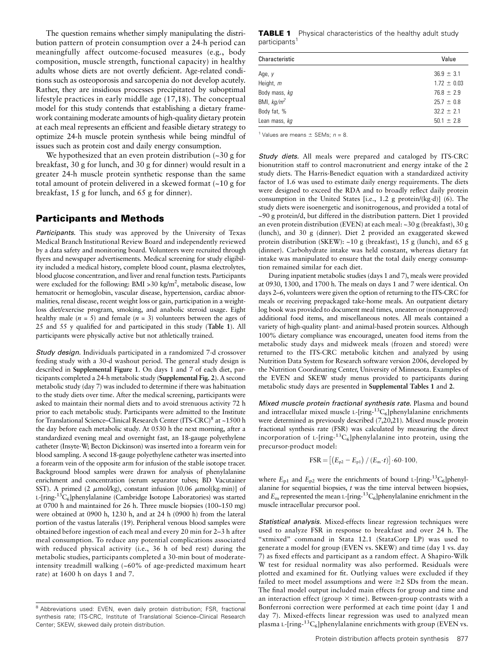The question remains whether simply manipulating the distribution pattern of protein consumption over a 24-h period can meaningfully affect outcome-focused measures (e.g., body composition, muscle strength, functional capacity) in healthy adults whose diets are not overtly deficient. Age-related conditions such as osteoporosis and sarcopenia do not develop acutely. Rather, they are insidious processes precipitated by suboptimal lifestyle practices in early middle age (17,18). The conceptual model for this study contends that establishing a dietary framework containing moderate amounts of high-quality dietary protein at each meal represents an efficient and feasible dietary strategy to optimize 24-h muscle protein synthesis while being mindful of issues such as protein cost and daily energy consumption.

We hypothesized that an even protein distribution (~30 g for breakfast, 30 g for lunch, and 30 g for dinner) would result in a greater 24-h muscle protein synthetic response than the same total amount of protein delivered in a skewed format (~10 g for breakfast, 15 g for lunch, and 65 g for dinner).

## Participants and Methods

Participants. This study was approved by the University of Texas Medical Branch Institutional Review Board and independently reviewed by a data safety and monitoring board. Volunteers were recruited through flyers and newspaper advertisements. Medical screening for study eligibility included a medical history, complete blood count, plasma electrolytes, blood glucose concentration, and liver and renal function tests. Participants were excluded for the following: BMI >30 kg/m<sup>2</sup>, metabolic disease, low hematocrit or hemoglobin, vascular disease, hypertension, cardiac abnormalities, renal disease, recent weight loss or gain, participation in a weightloss diet/exercise program, smoking, and anabolic steroid usage. Eight healthy male ( $n = 5$ ) and female ( $n = 3$ ) volunteers between the ages of 25 and 55 y qualified for and participated in this study (Table 1). All participants were physically active but not athletically trained.

Study design. Individuals participated in a randomized 7-d crossover feeding study with a 30-d washout period. The general study design is described in Supplemental Figure 1. On days 1 and 7 of each diet, participants completed a 24-h metabolic study (Supplemental Fig. 2). A second metabolic study (day 7) was included to determine if there was habituation to the study diets over time. After the medical screening, participants were asked to maintain their normal diets and to avoid strenuous activity 72 h prior to each metabolic study. Participants were admitted to the Institute for Translational Science-Clinical Research Center (ITS-CRC)<sup>8</sup> at ~1500 h the day before each metabolic study. At 0530 h the next morning, after a standardized evening meal and overnight fast, an 18-gauge polyethylene catheter (Insyte-W; Becton Dickinson) was inserted into a forearm vein for blood sampling. A second 18-gauge polyethylene catheter was inserted into a forearm vein of the opposite arm for infusion of the stable isotope tracer. Background blood samples were drawn for analysis of phenylalanine enrichment and concentration (serum separator tubes; BD Vacutainer SST). A primed (2  $\mu$ mol/kg), constant infusion [0.06  $\mu$ mol(kg·min)] of L-[ring-<sup>13</sup>C<sub>6</sub>]phenylalanine (Cambridge Isotope Laboratories) was started at 0700 h and maintained for 26 h. Three muscle biopsies (100–150 mg) were obtained at 0900 h, 1230 h, and at 24 h (0900 h) from the lateral portion of the vastus lateralis (19). Peripheral venous blood samples were obtained before ingestion of each meal and every 20 min for 2–3 h after meal consumption. To reduce any potential complications associated with reduced physical activity (i.e., 36 h of bed rest) during the metabolic studies, participants completed a 30-min bout of moderateintensity treadmill walking (~60% of age-predicted maximum heart rate) at 1600 h on days 1 and 7.

**TABLE 1** Physical characteristics of the healthy adult study participants<sup>1</sup>

| Characteristic | Value           |
|----------------|-----------------|
| Age, y         | $36.9 \pm 3.1$  |
| Height, m      | $1.72 \pm 0.03$ |
| Body mass, kg  | $76.8 \pm 2.9$  |
| BMI, $kg/m^2$  | $25.7 \pm 0.8$  |
| Body fat, %    | $32.2 \pm 2.1$  |
| Lean mass, kg  | $50.1 \pm 2.8$  |

<sup>1</sup> Values are means  $\pm$  SEMs; n = 8.

Study diets. All meals were prepared and cataloged by ITS-CRC bionutrition staff to control macronutrient and energy intake of the 2 study diets. The Harris-Benedict equation with a standardized activity factor of 1.6 was used to estimate daily energy requirements. The diets were designed to exceed the RDA and to broadly reflect daily protein consumption in the United States [i.e.,  $1.2$  g protein/(kg·d)] (6). The study diets were isoenergetic and isonitrogenous, and provided a total of ~90 g protein/d, but differed in the distribution pattern. Diet 1 provided an even protein distribution (EVEN) at each meal: ~30 g (breakfast), 30 g (lunch), and 30 g (dinner). Diet 2 provided an exaggerated skewed protein distribution (SKEW): ~10 g (breakfast), 15 g (lunch), and 65 g (dinner). Carbohydrate intake was held constant, whereas dietary fat intake was manipulated to ensure that the total daily energy consumption remained similar for each diet.

During inpatient metabolic studies (days 1 and 7), meals were provided at 0930, 1300, and 1700 h. The meals on days 1 and 7 were identical. On days 2–6, volunteers were given the option of returning to the ITS-CRC for meals or receiving prepackaged take-home meals. An outpatient dietary log book was provided to document meal times, uneaten or (nonapproved) additional food items, and miscellaneous notes. All meals contained a variety of high-quality plant- and animal-based protein sources. Although 100% dietary compliance was encouraged, uneaten food items from the metabolic study days and midweek meals (frozen and stored) were returned to the ITS-CRC metabolic kitchen and analyzed by using Nutrition Data System for Research software version 2006, developed by the Nutrition Coordinating Center, University of Minnesota. Examples of the EVEN and SKEW study menus provided to participants during metabolic study days are presented in Supplemental Tables 1 and 2.

Mixed muscle protein fractional synthesis rate. Plasma and bound and intracellular mixed muscle L- $[ring^{-13}C_6]$ phenylalanine enrichments were determined as previously described (7,20,21). Mixed muscle protein fractional synthesis rate (FSR) was calculated by measuring the direct incorporation of  $L$ -[ring- $^{13}C_6$ ]phenylalanine into protein, using the precursor-product model:

$$
FSR = [(E_{p2} - E_{p1}) / (E_{m} \cdot t)] \cdot 60 \cdot 100,
$$

where  $E_{p1}$  and  $E_{p2}$  were the enrichments of bound L-[ring-<sup>13</sup>C<sub>6</sub>]phenylalanine for sequential biopsies,  $t$  was the time interval between biopsies, and  $E_m$  represented the mean L-[ring-<sup>13</sup>C<sub>6</sub>]phenylalanine enrichment in the muscle intracellular precursor pool.

Statistical analysis. Mixed-effects linear regression techniques were used to analyze FSR in response to breakfast and over 24 h. The "xtmixed" command in Stata 12.1 (StataCorp LP) was used to generate a model for group (EVEN vs. SKEW) and time (day 1 vs. day 7) as fixed effects and participant as a random effect. A Shapiro-Wilk W test for residual normality was also performed. Residuals were plotted and examined for fit. Outlying values were excluded if they failed to meet model assumptions and were  $\geq 2$  SDs from the mean. The final model output included main effects for group and time and an interaction effect (group  $\times$  time). Between-group contrasts with a Bonferroni correction were performed at each time point (day 1 and day 7). Mixed-effects linear regression was used to analyzed mean plasma L- $\left[\text{ring}^{-13}\text{C}_6\right]$ phenylalanine enrichments with group (EVEN vs.

<sup>&</sup>lt;sup>8</sup> Abbreviations used: EVEN, even daily protein distribution; FSR, fractional synthesis rate; ITS-CRC, Institute of Translational Science–Clinical Research Center; SKEW, skewed daily protein distribution.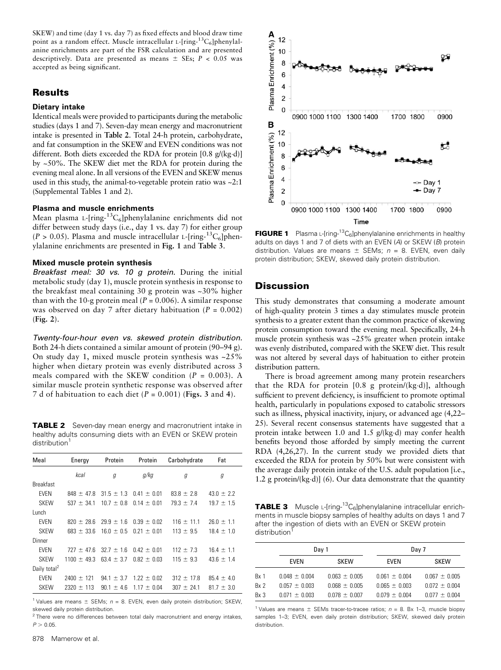SKEW) and time (day 1 vs. day 7) as fixed effects and blood draw time point as a random effect. Muscle intracellular L- $\text{[ring}^{-13}C_6\text{]}$ phenylalanine enrichments are part of the FSR calculation and are presented descriptively. Data are presented as means  $\pm$  SEs; P < 0.05 was accepted as being significant.

# **Results**

### Dietary intake

Identical meals were provided to participants during the metabolic studies (days 1 and 7). Seven-day mean energy and macronutrient intake is presented in Table 2. Total 24-h protein, carbohydrate, and fat consumption in the SKEW and EVEN conditions was not different. Both diets exceeded the RDA for protein  $[0.8 \text{ g/(kg-d)}]$ by ~50%. The SKEW diet met the RDA for protein during the evening meal alone. In all versions of the EVEN and SKEW menus used in this study, the animal-to-vegetable protein ratio was  $\sim 2.1$ (Supplemental Tables 1 and 2).

#### Plasma and muscle enrichments

Mean plasma L-[ring-<sup>13</sup>C<sub>6</sub>]phenylalanine enrichments did not differ between study days (i.e., day 1 vs. day 7) for either group  $(P > 0.05)$ . Plasma and muscle intracellular L-[ring- ${}^{13}C_6$ ]phenylalanine enrichments are presented in Fig. 1 and Table 3.

#### Mixed muscle protein synthesis

Breakfast meal: 30 vs. 10 q protein. During the initial metabolic study (day 1), muscle protein synthesis in response to the breakfast meal containing 30 g protein was ~30% higher than with the 10-g protein meal ( $P = 0.006$ ). A similar response was observed on day 7 after dietary habituation ( $P = 0.002$ ) (Fig. 2).

Twenty-four-hour even vs. skewed protein distribution. Both 24-h diets contained a similar amount of protein (90–94 g). On study day 1, mixed muscle protein synthesis was ~25% higher when dietary protein was evenly distributed across 3 meals compared with the SKEW condition  $(P = 0.003)$ . A similar muscle protein synthetic response was observed after 7 d of habituation to each diet  $(P = 0.001)$  (Figs. 3 and 4).

**TABLE 2** Seven-day mean energy and macronutrient intake in healthy adults consuming diets with an EVEN or SKEW protein distribution<sup>1</sup>

| Meal                     | Energy          | Protein        | Protein                        | Carbohydrate   | Fat            |
|--------------------------|-----------------|----------------|--------------------------------|----------------|----------------|
|                          | kcal            | g              | g/kg                           | g              | g              |
| <b>Breakfast</b>         |                 |                |                                |                |                |
| <b>EVEN</b>              | $848 \pm 47.8$  |                | $31.5 \pm 1.3$ 0.41 $\pm$ 0.01 | $83.8 \pm 2.8$ | $43.0 \pm 2.2$ |
| <b>SKEW</b>              | $537 \pm 34.1$  | $10.7 \pm 0.8$ | $0.14 \pm 0.01$                | $79.3 \pm 7.4$ | $19.7 \pm 1.5$ |
| Lunch                    |                 |                |                                |                |                |
| <b>EVEN</b>              | $820 \pm 28.6$  |                | $29.9 \pm 1.6$ 0.39 $\pm$ 0.02 | $116 \pm 11.1$ | $26.0 \pm 1.1$ |
| <b>SKEW</b>              | $683 \pm 33.6$  | $16.0 \pm 0.5$ | $0.21 \pm 0.01$                | $113 \pm 9.5$  | $18.4 \pm 1.0$ |
| Dinner                   |                 |                |                                |                |                |
| <b>EVEN</b>              | $727 \pm 47.6$  | $32.7 \pm 1.6$ | $0.42 \pm 0.01$                | $112 \pm 7.3$  | $16.4 \pm 1.1$ |
| <b>SKEW</b>              | $1100 \pm 49.3$ | $63.4 \pm 3.7$ | $0.82 \pm 0.03$                | $115 \pm 9.3$  | $43.6 \pm 1.4$ |
| Daily total <sup>2</sup> |                 |                |                                |                |                |
| <b>EVEN</b>              | $2400 \pm 121$  | $94.1 \pm 3.7$ | $1.22 \pm 0.02$                | $312 \pm 17.8$ | $85.4 \pm 4.0$ |
| <b>SKEW</b>              | $2320 \pm 113$  | $90.1 \pm 4.6$ | $1.17 \pm 0.04$                | $307 \pm 24.1$ | $81.7 \pm 3.0$ |

<sup>1</sup> Values are means  $\pm$  SEMs; n = 8. EVEN, even daily protein distribution; SKEW, skewed daily protein distribution.

 $2$  There were no differences between total daily macronutrient and energy intakes,  $P > 0.05$ .



**FIGURE 1** Plasma L-[ring-<sup>13</sup>C<sub>6</sub>]phenylalanine enrichments in healthy adults on days 1 and 7 of diets with an EVEN (A) or SKEW (B) protein distribution. Values are means  $\pm$  SEMs; n = 8. EVEN, even daily protein distribution; SKEW, skewed daily protein distribution.

## **Discussion**

This study demonstrates that consuming a moderate amount of high-quality protein 3 times a day stimulates muscle protein synthesis to a greater extent than the common practice of skewing protein consumption toward the evening meal. Specifically, 24-h muscle protein synthesis was ~25% greater when protein intake was evenly distributed, compared with the SKEW diet. This result was not altered by several days of habituation to either protein distribution pattern.

There is broad agreement among many protein researchers that the RDA for protein  $[0.8 \text{ g protein/(kg \cdot d)}]$ , although sufficient to prevent deficiency, is insufficient to promote optimal health, particularly in populations exposed to catabolic stressors such as illness, physical inactivity, injury, or advanced age (4,22– 25). Several recent consensus statements have suggested that a protein intake between 1.0 and 1.5  $g/(kg \cdot d)$  may confer health benefits beyond those afforded by simply meeting the current RDA (4,26,27). In the current study we provided diets that exceeded the RDA for protein by 50% but were consistent with the average daily protein intake of the U.S. adult population [i.e., 1.2 g protein/ $(kg \cdot d)$ ] (6). Our data demonstrate that the quantity

**TABLE 3** Muscle L-[ring-<sup>13</sup>C<sub>6</sub>]phenylalanine intracellular enrichments in muscle biopsy samples of healthy adults on days 1 and 7 after the ingestion of diets with an EVEN or SKEW protein distribution<sup>1</sup>

|                 | Day 1             |                   |                   | Day 7             |  |  |
|-----------------|-------------------|-------------------|-------------------|-------------------|--|--|
|                 | EVEN              | <b>SKEW</b>       | EVEN              | <b>SKEW</b>       |  |  |
| Bx 1            | $0.048 \pm 0.004$ | $0.063 \pm 0.005$ | $0.061 \pm 0.004$ | $0.067 \pm 0.005$ |  |  |
| Bx 2            | $0.057 \pm 0.003$ | $0.068 \pm 0.005$ | $0.065 \pm 0.003$ | $0.072 \pm 0.004$ |  |  |
| Rx <sub>3</sub> | $0.071 \pm 0.003$ | $0.078 \pm 0.007$ | $0.079 \pm 0.004$ | $0.077 \pm 0.004$ |  |  |

<sup>1</sup> Values are means  $\pm$  SEMs tracer-to-tracee ratios;  $n = 8$ . Bx 1–3, muscle biopsy samples 1-3; EVEN, even daily protein distribution; SKEW, skewed daily protein distribution.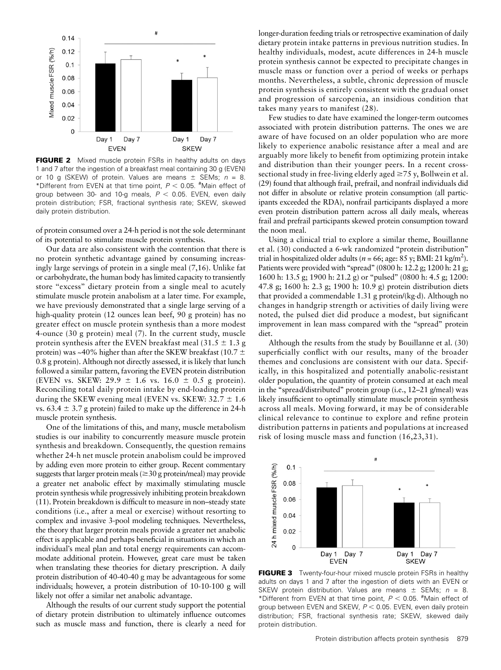

FIGURE 2 Mixed muscle protein FSRs in healthy adults on days 1 and 7 after the ingestion of a breakfast meal containing 30 g (EVEN) or 10 g (SKEW) of protein. Values are means  $\pm$  SEMs;  $n = 8$ . \*Different from EVEN at that time point,  $P < 0.05$ .  $*$ Main effect of group between 30- and 10-g meals,  $P < 0.05$ . EVEN, even daily protein distribution; FSR, fractional synthesis rate; SKEW, skewed daily protein distribution.

of protein consumed over a 24-h period is not the sole determinant of its potential to stimulate muscle protein synthesis.

Our data are also consistent with the contention that there is no protein synthetic advantage gained by consuming increasingly large servings of protein in a single meal (7,16). Unlike fat or carbohydrate, the human body has limited capacity to transiently store "excess" dietary protein from a single meal to acutely stimulate muscle protein anabolism at a later time. For example, we have previously demonstrated that a single large serving of a high-quality protein (12 ounces lean beef, 90 g protein) has no greater effect on muscle protein synthesis than a more modest 4-ounce (30 g protein) meal (7). In the current study, muscle protein synthesis after the EVEN breakfast meal (31.5  $\pm$  1.3 g protein) was ~40% higher than after the SKEW breakfast (10.7  $\pm$ 0.8 g protein). Although not directly assessed, it is likely that lunch followed a similar pattern, favoring the EVEN protein distribution (EVEN vs. SKEW: 29.9  $\pm$  1.6 vs. 16.0  $\pm$  0.5 g protein). Reconciling total daily protein intake by end-loading protein during the SKEW evening meal (EVEN vs. SKEW:  $32.7 \pm 1.6$ ) vs.  $63.4 \pm 3.7$  g protein) failed to make up the difference in 24-h muscle protein synthesis.

One of the limitations of this, and many, muscle metabolism studies is our inability to concurrently measure muscle protein synthesis and breakdown. Consequently, the question remains whether 24-h net muscle protein anabolism could be improved by adding even more protein to either group. Recent commentary suggests that larger protein meals ( $\geq$ 30 g protein/meal) may provide a greater net anabolic effect by maximally stimulating muscle protein synthesis while progressively inhibiting protein breakdown (11). Protein breakdown is difficult to measure in non–steady state conditions (i.e., after a meal or exercise) without resorting to complex and invasive 3-pool modeling techniques. Nevertheless, the theory that larger protein meals provide a greater net anabolic effect is applicable and perhaps beneficial in situations in which an individual's meal plan and total energy requirements can accommodate additional protein. However, great care must be taken when translating these theories for dietary prescription. A daily protein distribution of 40-40-40 g may be advantageous for some individuals; however, a protein distribution of 10-10-100 g will likely not offer a similar net anabolic advantage.

Although the results of our current study support the potential of dietary protein distribution to ultimately influence outcomes such as muscle mass and function, there is clearly a need for

longer-duration feeding trials or retrospective examination of daily dietary protein intake patterns in previous nutrition studies. In healthy individuals, modest, acute differences in 24-h muscle protein synthesis cannot be expected to precipitate changes in muscle mass or function over a period of weeks or perhaps months. Nevertheless, a subtle, chronic depression of muscle protein synthesis is entirely consistent with the gradual onset and progression of sarcopenia, an insidious condition that takes many years to manifest (28).

Few studies to date have examined the longer-term outcomes associated with protein distribution patterns. The ones we are aware of have focused on an older population who are more likely to experience anabolic resistance after a meal and are arguably more likely to benefit from optimizing protein intake and distribution than their younger peers. In a recent crosssectional study in free-living elderly aged  $\geq$ 75 y, Bollwein et al. (29) found that although frail, prefrail, and nonfrail individuals did not differ in absolute or relative protein consumption (all participants exceeded the RDA), nonfrail participants displayed a more even protein distribution pattern across all daily meals, whereas frail and prefrail participants skewed protein consumption toward the noon meal.

Using a clinical trial to explore a similar theme, Bouillanne et al. (30) conducted a 6-wk randomized ''protein distribution'' trial in hospitalized older adults ( $n = 66$ ; age:  $85$  y; BMI: 21 kg/m<sup>2</sup>). Patients were provided with "spread" (0800 h: 12.2 g; 1200 h: 21 g; 1600 h: 13.5 g; 1900 h: 21.2 g) or ''pulsed'' (0800 h: 4.5 g; 1200: 47.8 g; 1600 h: 2.3 g; 1900 h: 10.9 g) protein distribution diets that provided a commendable 1.31 g protein/(kg·d). Although no changes in handgrip strength or activities of daily living were noted, the pulsed diet did produce a modest, but significant improvement in lean mass compared with the ''spread'' protein diet.

Although the results from the study by Bouillanne et al. (30) superficially conflict with our results, many of the broader themes and conclusions are consistent with our data. Specifically, in this hospitalized and potentially anabolic-resistant older population, the quantity of protein consumed at each meal in the ''spread/distributed'' protein group (i.e., 12–21 g/meal) was likely insufficient to optimally stimulate muscle protein synthesis across all meals. Moving forward, it may be of considerable clinical relevance to continue to explore and refine protein distribution patterns in patients and populations at increased risk of losing muscle mass and function (16,23,31).



**FIGURE 3** Twenty-four-hour mixed muscle protein FSRs in healthy adults on days 1 and 7 after the ingestion of diets with an EVEN or SKEW protein distribution. Values are means  $\pm$  SEMs; n = 8. \*Different from EVEN at that time point,  $P < 0.05$ .  $*$ Main effect of group between EVEN and SKEW,  $P < 0.05$ . EVEN, even daily protein distribution; FSR, fractional synthesis rate; SKEW, skewed daily protein distribution.